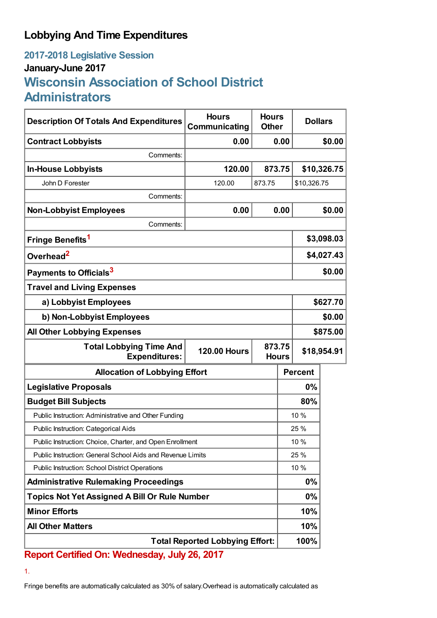## **Lobbying And Time Expenditures**

## **2017-2018 Legislative Session January-June 2017 Wisconsin Association of School District Administrators**

| <b>Description Of Totals And Expenditures</b>                                           | <b>Hours</b><br>Communicating | <b>Hours</b><br><b>Other</b> | <b>Dollars</b> |             |             |  |
|-----------------------------------------------------------------------------------------|-------------------------------|------------------------------|----------------|-------------|-------------|--|
| <b>Contract Lobbyists</b>                                                               | 0.00                          |                              | 0.00           |             | \$0.00      |  |
| Comments:                                                                               |                               |                              |                |             |             |  |
| <b>In-House Lobbyists</b>                                                               | 120.00                        |                              | 873.75         |             | \$10,326.75 |  |
| John D Forester                                                                         | 120.00                        | 873.75                       |                | \$10,326.75 |             |  |
| Comments:                                                                               |                               |                              |                |             |             |  |
| <b>Non-Lobbyist Employees</b>                                                           | 0.00                          |                              | 0.00           |             | \$0.00      |  |
| Comments:                                                                               |                               |                              |                |             |             |  |
| Fringe Benefits <sup>1</sup>                                                            |                               |                              | \$3,098.03     |             |             |  |
| Overhead <sup>2</sup>                                                                   |                               |                              | \$4,027.43     |             |             |  |
| Payments to Officials <sup>3</sup>                                                      |                               |                              | \$0.00         |             |             |  |
| <b>Travel and Living Expenses</b>                                                       |                               |                              |                |             |             |  |
| a) Lobbyist Employees                                                                   |                               |                              | \$627.70       |             |             |  |
| b) Non-Lobbyist Employees                                                               |                               |                              |                | \$0.00      |             |  |
| <b>All Other Lobbying Expenses</b>                                                      |                               |                              |                | \$875.00    |             |  |
| 873.75<br><b>Total Lobbying Time And</b><br><b>120.00 Hours</b><br><b>Expenditures:</b> |                               | <b>Hours</b>                 | \$18,954.91    |             |             |  |
| <b>Allocation of Lobbying Effort</b>                                                    |                               |                              | <b>Percent</b> |             |             |  |
| <b>Legislative Proposals</b>                                                            |                               |                              | 0%             |             |             |  |
| <b>Budget Bill Subjects</b>                                                             |                               |                              | 80%            |             |             |  |
| Public Instruction: Administrative and Other Funding                                    |                               |                              | 10 %           |             |             |  |
| Public Instruction: Categorical Aids                                                    |                               |                              | 25 %           |             |             |  |
| Public Instruction: Choice, Charter, and Open Enrollment                                |                               |                              | 10%            |             |             |  |
| Public Instruction: General School Aids and Revenue Limits                              |                               |                              | 25 %           |             |             |  |
| Public Instruction: School District Operations                                          |                               |                              | 10 %           |             |             |  |
| <b>Administrative Rulemaking Proceedings</b>                                            |                               |                              | 0%             |             |             |  |
| <b>Topics Not Yet Assigned A Bill Or Rule Number</b>                                    |                               |                              | $0\%$          |             |             |  |
| <b>Minor Efforts</b>                                                                    |                               |                              |                | 10%         |             |  |
| <b>All Other Matters</b>                                                                |                               |                              | 10%            |             |             |  |
| <b>Total Reported Lobbying Effort:</b>                                                  |                               |                              | 100%           |             |             |  |

**Report Certified On: Wednesday, July 26, 2017**